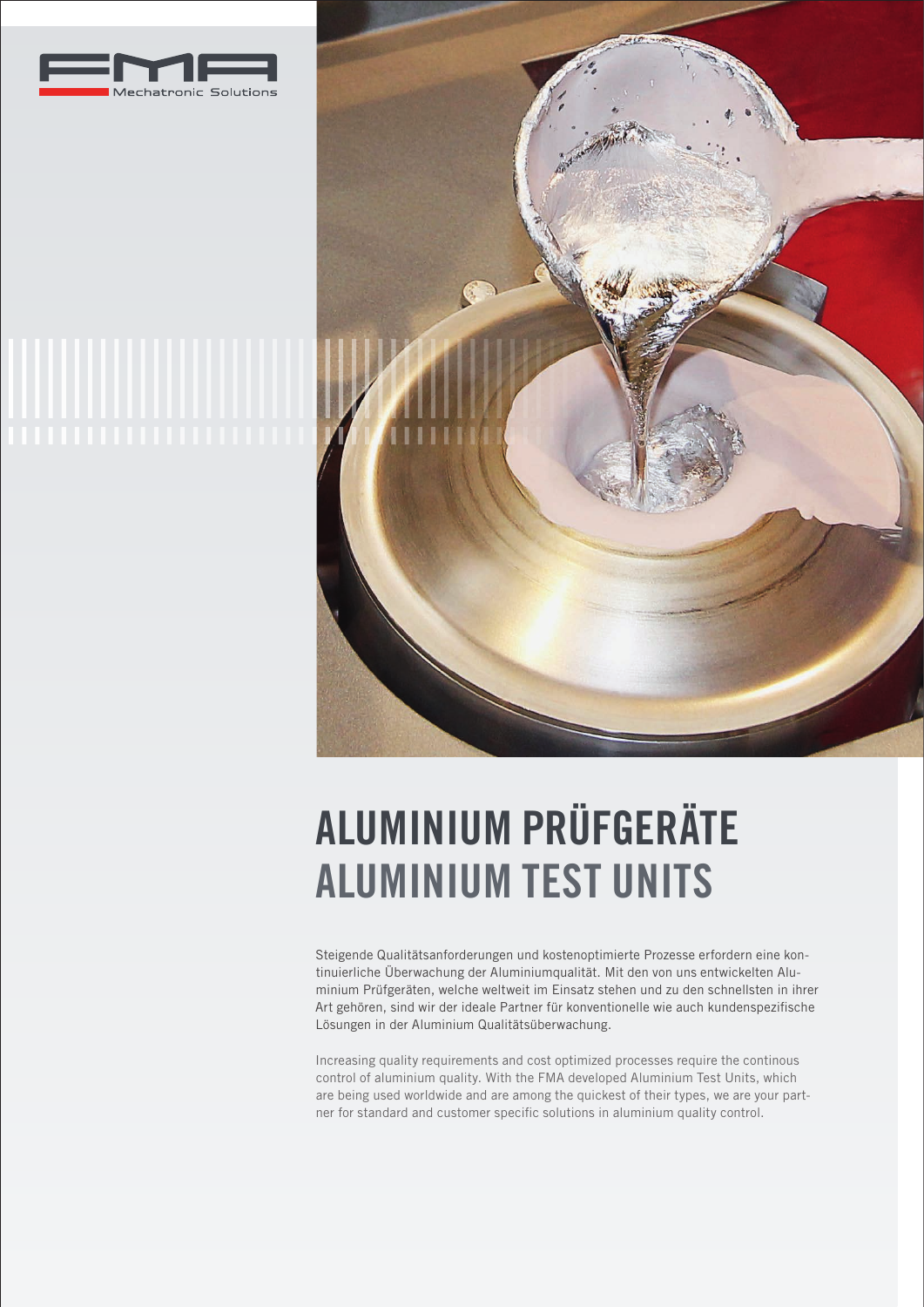





# ALUMINIUM PRÜFGERÄTE ALUMINIUM TEST UNITS

Steigende Qualitätsanforderungen und kostenoptimierte Prozesse erfordern eine kontinuierliche Überwachung der Aluminiumqualität. Mit den von uns entwickelten Aluminium Prüfgeräten, welche weltweit im Einsatz stehen und zu den schnellsten in ihrer Art gehören, sind wir der ideale Partner für konventionelle wie auch kundenspezifische Lösungen in der Aluminium Qualitätsüberwachung.

Increasing quality requirements and cost optimized processes require the continous control of aluminium quality. With the FMA developed Aluminium Test Units, which are being used worldwide and are among the quickest of their types, we are your partner for standard and customer specific solutions in aluminium quality control.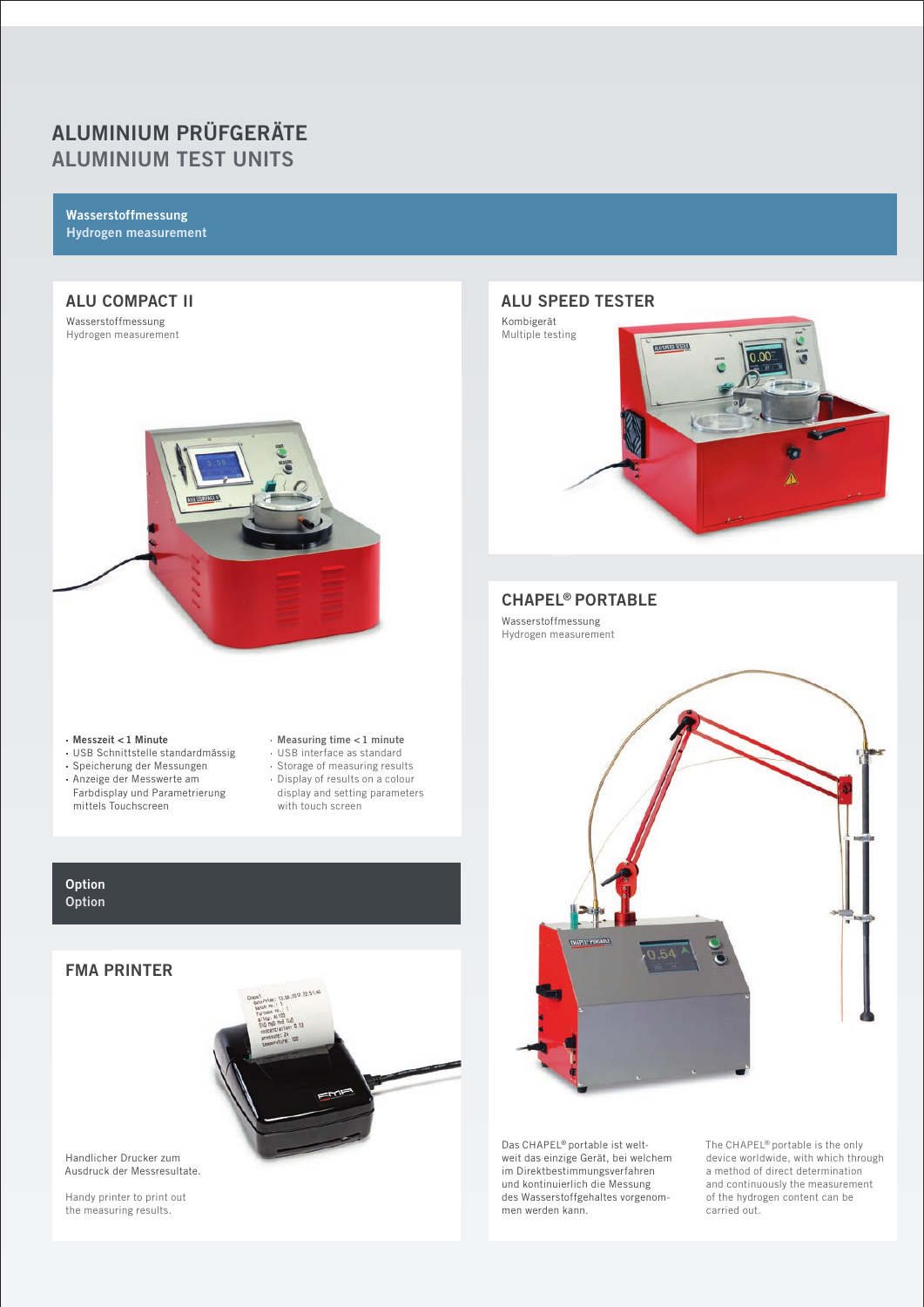# ALUMINIUM PRÜFGERÄTE ALUMINIUM TEST UNITS

Wasserstoffmessung Hydrogen measurement

#### ALU COMPACT II Wasserstoffmessung Hydrogen measurement



- Messzeit < 1 Minute
- USB Schnittstelle standardmässig
- Speicherung der Messungen
- Anzeige der Messwerte am Farbdisplay und Parametrierung mittels Touchscreen
- Measuring time < 1 minute
- 
- 
- 
- USB interface as standard Storage of measuring results
- Display of results on a colour
	- display and setting parameters with touch screen

## **Option Option**

# FMA PRINTER



Handlicher Drucker zum Ausdruck der Messresultate.

Handy printer to print out the measuring results.

# ALU SPEED TESTER



## CHAPEL® PORTABLE

Wasserstoffmessung Hydrogen measurement



Das CHAPEL® portable ist weltweit das einzige Gerät, bei welchem im Direktbestimmungsverfahren und kontinuierlich die Messung des Wasserstoffgehaltes vorgenommen werden kann.

The CHAPEL® portable is the only device worldwide, with which through a method of direct determination and continuously the measurement of the hydrogen content can be carried out.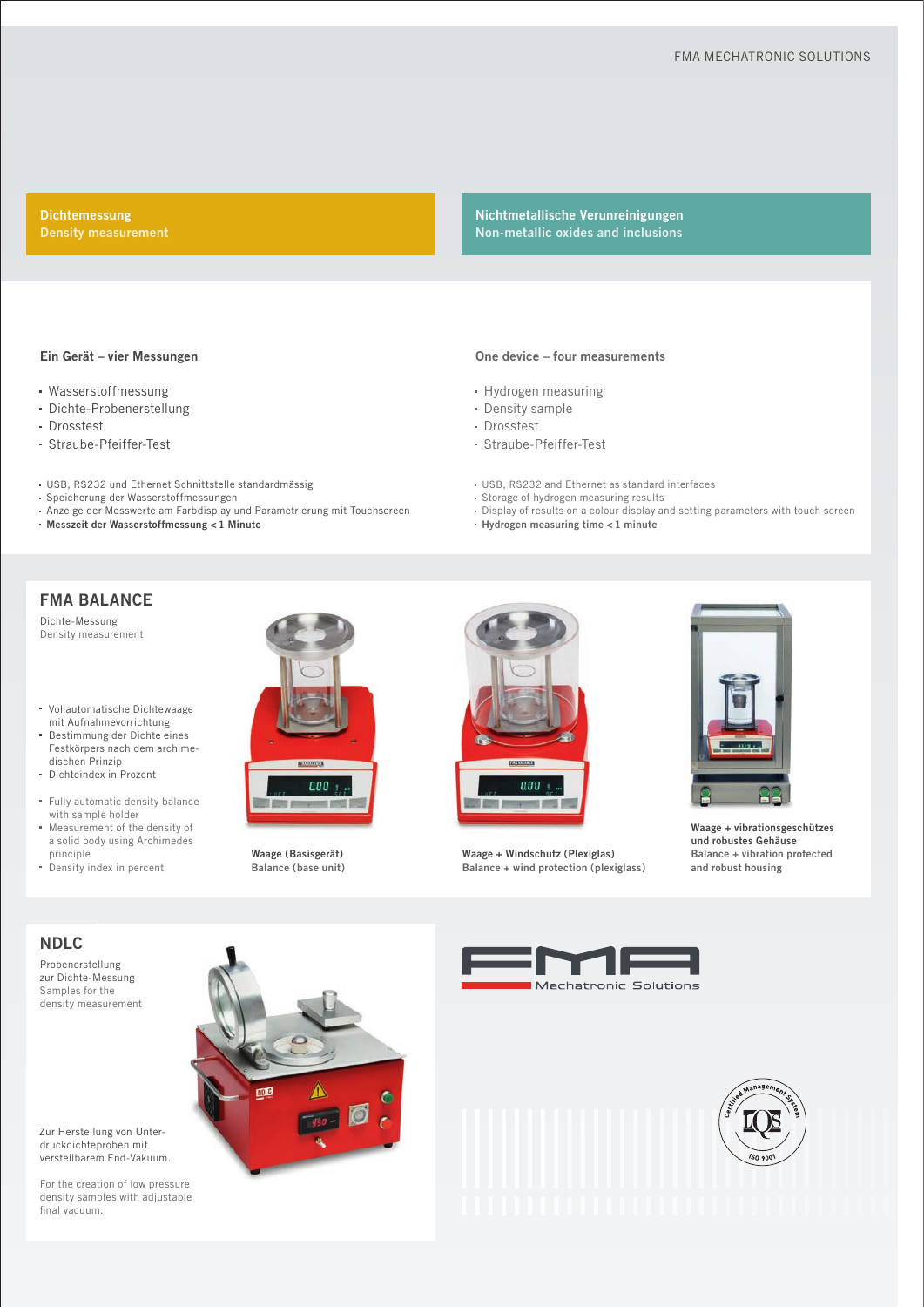Dichtemessung

Nichtmetallische Verunreinigungen Non-metallic oxides and inclusions

#### Ein Gerät – vier Messungen

- Wasserstoffmessung
- Dichte-Probenerstellung
- Drosstest
- Straube-Pfeiffer-Test
- USB, RS232 und Ethernet Schnittstelle standardmässig
- Speicherung der Wasserstoffmessungen
- Anzeige der Messwerte am Farbdisplay und Parametrierung mit Touchscreen
- Messzeit der Wasserstoffmessung < 1 Minute

#### One device – four measurements

- Hydrogen measuring
- Density sample
- Drosstest
- Straube-Pfeiffer-Test
- USB, RS232 and Ethernet as standard interfaces
- Storage of hydrogen measuring results
- Display of results on a colour display and setting parameters with touch screen Hydrogen measuring time < 1 minute

## FMA BALANCE

Dichte-Messung Density measurement

Vollautomatische Dichtewaage mit Aufnahmevorrichtung

- Bestimmung der Dichte eines Festkörpers nach dem archimedischen Prinzip
- Dichteindex in Prozent
- Fully automatic density balance with sample holder
- Measurement of the density of a solid body using Archimedes principle
- Density index in percent



Waage (Basisgerät) Balance (base unit)



Waage + Windschutz (Plexiglas) Balance + wind protection (plexiglass)



Waage + vibrationsgeschützes und robustes Gehäuse Balance + vibration protected and robust housing

### NDLC

Probenerstellung zur Dichte-Messung Samples for the density measurement







For the creation of low pressure density samples with adjustable final vacuum.

Zur Herstellung von Unterdruckdichteproben mit verstellbarem End-Vakuum.